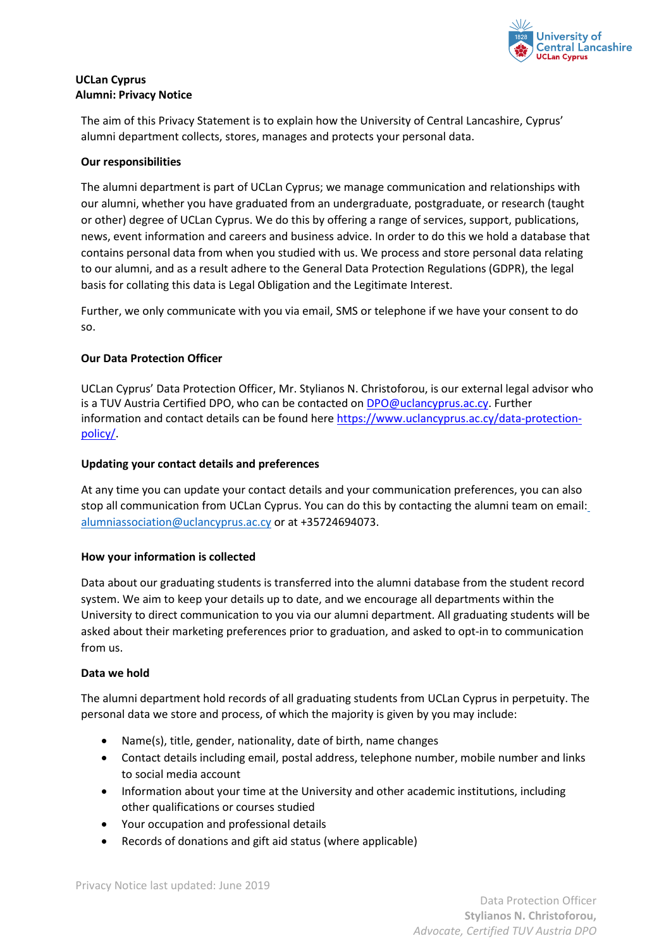

# **UCLan Cyprus Alumni: Privacy Notice**

The aim of this Privacy Statement is to explain how the University of Central Lancashire, Cyprus' alumni department collects, stores, manages and protects your personal data.

## **Our responsibilities**

The alumni department is part of UCLan Cyprus; we manage communication and relationships with our alumni, whether you have graduated from an undergraduate, postgraduate, or research (taught or other) degree of UCLan Cyprus. We do this by offering a range of services, support, publications, news, event information and careers and business advice. In order to do this we hold a database that contains personal data from when you studied with us. We process and store personal data relating to our alumni, and as a result adhere to the General Data Protection Regulations (GDPR), the legal basis for collating this data is Legal Obligation and the Legitimate Interest.

Further, we only communicate with you via email, SMS or telephone if we have your consent to do so.

## **Our Data Protection Officer**

UCLan Cyprus' Data Protection Officer, Mr. Stylianos N. Christoforou, is our external legal advisor who is a TUV Austria Certified DPO, who can be contacted on DPO@uclancyprus.ac.cy. Further information and contact details can be found here https://www.uclancyprus.ac.cy/data-protectionpolicy/.

## **Updating your contact details and preferences**

At any time you can update your contact details and your communication preferences, you can also stop all communication from UCLan Cyprus. You can do this by contacting the alumni team on email: alumniassociation@uclancyprus.ac.cy or at +35724694073.

## **How your information is collected**

Data about our graduating students is transferred into the alumni database from the student record system. We aim to keep your details up to date, and we encourage all departments within the University to direct communication to you via our alumni department. All graduating students will be asked about their marketing preferences prior to graduation, and asked to opt-in to communication from us.

## **Data we hold**

The alumni department hold records of all graduating students from UCLan Cyprus in perpetuity. The personal data we store and process, of which the majority is given by you may include:

- Name(s), title, gender, nationality, date of birth, name changes
- Contact details including email, postal address, telephone number, mobile number and links to social media account
- Information about your time at the University and other academic institutions, including other qualifications or courses studied
- Your occupation and professional details
- Records of donations and gift aid status (where applicable)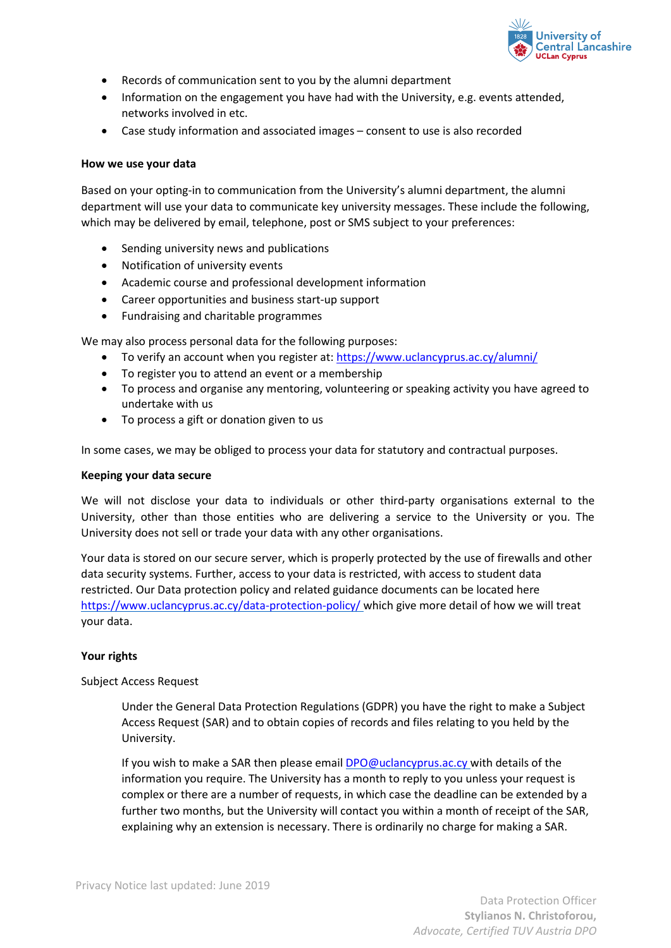

- Records of communication sent to you by the alumni department
- Information on the engagement you have had with the University, e.g. events attended, networks involved in etc.
- Case study information and associated images consent to use is also recorded

#### **How we use your data**

Based on your opting-in to communication from the University's alumni department, the alumni department will use your data to communicate key university messages. These include the following, which may be delivered by email, telephone, post or SMS subject to your preferences:

- Sending university news and publications
- Notification of university events
- Academic course and professional development information
- Career opportunities and business start-up support
- Fundraising and charitable programmes

We may also process personal data for the following purposes:

- To verify an account when you register at: https://www.uclancyprus.ac.cy/alumni/
- To register you to attend an event or a membership
- To process and organise any mentoring, volunteering or speaking activity you have agreed to undertake with us
- To process a gift or donation given to us

In some cases, we may be obliged to process your data for statutory and contractual purposes.

#### **Keeping your data secure**

We will not disclose your data to individuals or other third-party organisations external to the University, other than those entities who are delivering a service to the University or you. The University does not sell or trade your data with any other organisations.

Your data is stored on our secure server, which is properly protected by the use of firewalls and other data security systems. Further, access to your data is restricted, with access to student data restricted. Our Data protection policy and related guidance documents can be located here https://www.uclancyprus.ac.cy/data-protection-policy/ which give more detail of how we will treat your data.

## **Your rights**

## Subject Access Request

Under the General Data Protection Regulations (GDPR) you have the right to make a Subject Access Request (SAR) and to obtain copies of records and files relating to you held by the University.

If you wish to make a SAR then please email **DPO@uclancyprus.ac.cy** with details of the information you require. The University has a month to reply to you unless your request is complex or there are a number of requests, in which case the deadline can be extended by a further two months, but the University will contact you within a month of receipt of the SAR, explaining why an extension is necessary. There is ordinarily no charge for making a SAR.